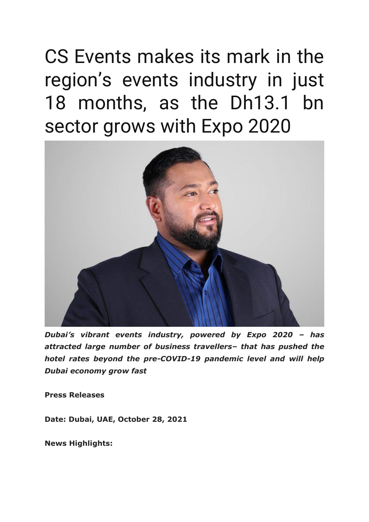CS Events makes its mark in the region's events industry in just 18 months, as the Dh13.1 bn sector grows with Expo 2020



*Dubai's vibrant events industry, powered by Expo 2020 – has attracted large number of business travellers– that has pushed the hotel rates beyond the pre-COVID-19 pandemic level and will help Dubai economy grow fast*

**Press Releases**

**Date: Dubai, UAE, October 28, 2021**

**News Highlights:**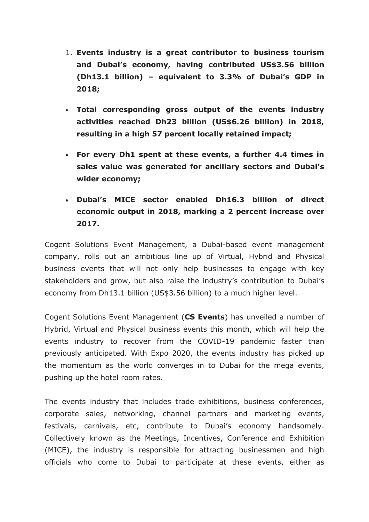- 1. **Events industry is a great contributor to business tourism and Dubai's economy, having contributed US\$3.56 billion (Dh13.1 billion) – equivalent to 3.3% of Dubai's GDP in 2018;**
- **Total corresponding gross output of the events industry activities reached Dh23 billion (US\$6.26 billion) in 2018, resulting in a high 57 percent locally retained impact;**
- **For every Dh1 spent at these events, a further 4.4 times in sales value was generated for ancillary sectors and Dubai's wider economy;**
- **Dubai's MICE sector enabled Dh16.3 billion of direct economic output in 2018, marking a 2 percent increase over 2017.**

Cogent Solutions Event Management, a Dubai-based event management company, rolls out an ambitious line up of Virtual, Hybrid and Physical business events that will not only help businesses to engage with key stakeholders and grow, but also raise the industry's contribution to Dubai's economy from Dh13.1 billion (US\$3.56 billion) to a much higher level.

Cogent Solutions Event Management (**CS Events**) has unveiled a number of Hybrid, Virtual and Physical business events this month, which will help the events industry to recover from the COVID-19 pandemic faster than previously anticipated. With Expo 2020, the events industry has picked up the momentum as the world converges in to Dubai for the mega events, pushing up the hotel room rates.

The events industry that includes trade exhibitions, business conferences, corporate sales, networking, channel partners and marketing events, festivals, carnivals, etc, contribute to Dubai's economy handsomely. Collectively known as the Meetings, Incentives, Conference and Exhibition (MICE), the industry is responsible for attracting businessmen and high officials who come to Dubai to participate at these events, either as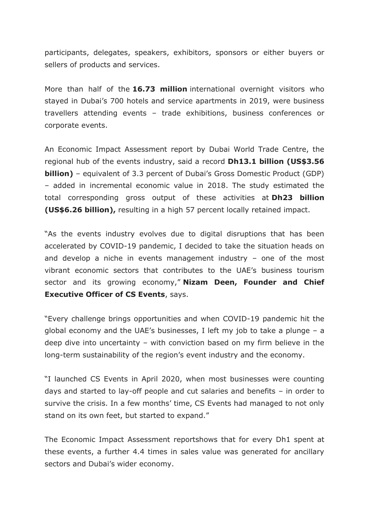participants, delegates, speakers, exhibitors, sponsors or either buyers or sellers of products and services.

More than half of the **16.73 million** international overnight visitors who stayed in Dubai's 700 hotels and service apartments in 2019, were business travellers attending events – trade exhibitions, business conferences or corporate events.

An Economic Impact Assessment report by Dubai World Trade Centre, the regional hub of the events industry, said a record **Dh13.1 billion (US\$3.56 billion)** – equivalent of 3.3 percent of Dubai's Gross Domestic Product (GDP) – added in incremental economic value in 2018. The study estimated the total corresponding gross output of these activities at **Dh23 billion (US\$6.26 billion),** resulting in a high 57 percent locally retained impact.

"As the events industry evolves due to digital disruptions that has been accelerated by COVID-19 pandemic, I decided to take the situation heads on and develop a niche in events management industry – one of the most vibrant economic sectors that contributes to the UAE's business tourism sector and its growing economy," **Nizam Deen, Founder and Chief Executive Officer of CS Events**, says.

"Every challenge brings opportunities and when COVID-19 pandemic hit the global economy and the UAE's businesses, I left my job to take a plunge – a deep dive into uncertainty – with conviction based on my firm believe in the long-term sustainability of the region's event industry and the economy.

"I launched CS Events in April 2020, when most businesses were counting days and started to lay-off people and cut salaries and benefits – in order to survive the crisis. In a few months' time, CS Events had managed to not only stand on its own feet, but started to expand."

The Economic Impact Assessment reportshows that for every Dh1 spent at these events, a further 4.4 times in sales value was generated for ancillary sectors and Dubai's wider economy.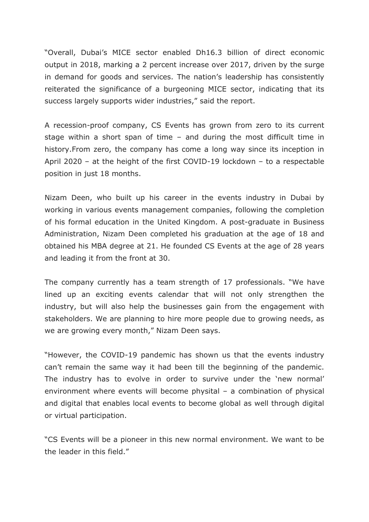"Overall, Dubai's MICE sector enabled Dh16.3 billion of direct economic output in 2018, marking a 2 percent increase over 2017, driven by the surge in demand for goods and services. The nation's leadership has consistently reiterated the significance of a burgeoning MICE sector, indicating that its success largely supports wider industries," said the report.

A recession-proof company, CS Events has grown from zero to its current stage within a short span of time – and during the most difficult time in history.From zero, the company has come a long way since its inception in April 2020 – at the height of the first COVID-19 lockdown – to a respectable position in just 18 months.

Nizam Deen, who built up his career in the events industry in Dubai by working in various events management companies, following the completion of his formal education in the United Kingdom. A post-graduate in Business Administration, Nizam Deen completed his graduation at the age of 18 and obtained his MBA degree at 21. He founded CS Events at the age of 28 years and leading it from the front at 30.

The company currently has a team strength of 17 professionals. "We have lined up an exciting events calendar that will not only strengthen the industry, but will also help the businesses gain from the engagement with stakeholders. We are planning to hire more people due to growing needs, as we are growing every month," Nizam Deen says.

"However, the COVID-19 pandemic has shown us that the events industry can't remain the same way it had been till the beginning of the pandemic. The industry has to evolve in order to survive under the 'new normal' environment where events will become physital – a combination of physical and digital that enables local events to become global as well through digital or virtual participation.

"CS Events will be a pioneer in this new normal environment. We want to be the leader in this field."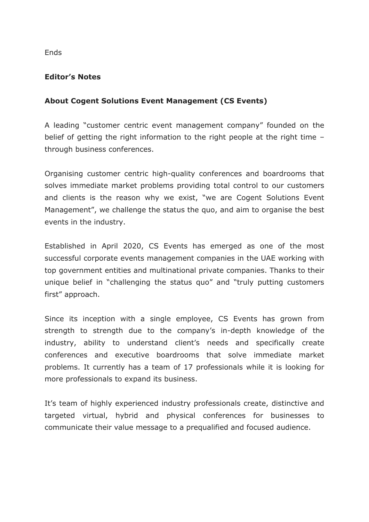**Ends** 

## **Editor's Notes**

## **About Cogent Solutions Event Management (CS Events)**

A leading "customer centric event management company" founded on the belief of getting the right information to the right people at the right time – through business conferences.

Organising customer centric high-quality conferences and boardrooms that solves immediate market problems providing total control to our customers and clients is the reason why we exist, "we are Cogent Solutions Event Management", we challenge the status the quo, and aim to organise the best events in the industry.

Established in April 2020, CS Events has emerged as one of the most successful corporate events management companies in the UAE working with top government entities and multinational private companies. Thanks to their unique belief in "challenging the status quo" and "truly putting customers first" approach.

Since its inception with a single employee, CS Events has grown from strength to strength due to the company's in-depth knowledge of the industry, ability to understand client's needs and specifically create conferences and executive boardrooms that solve immediate market problems. It currently has a team of 17 professionals while it is looking for more professionals to expand its business.

It's team of highly experienced industry professionals create, distinctive and targeted virtual, hybrid and physical conferences for businesses to communicate their value message to a prequalified and focused audience.